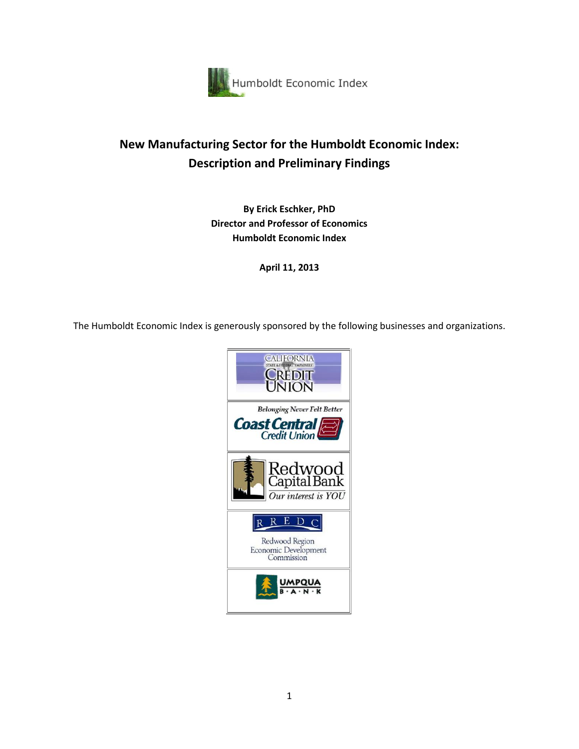

# **New Manufacturing Sector for the Humboldt Economic Index: Description and Preliminary Findings**

**By Erick Eschker, PhD Director and Professor of Economics Humboldt Economic Index**

**April 11, 2013**

The Humboldt Economic Index is generously sponsored by the following businesses and organizations.

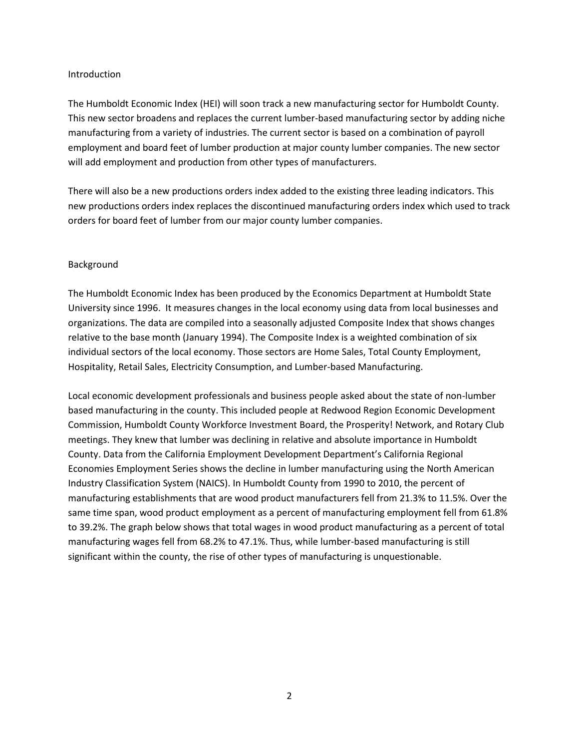### Introduction

The Humboldt Economic Index (HEI) will soon track a new manufacturing sector for Humboldt County. This new sector broadens and replaces the current lumber-based manufacturing sector by adding niche manufacturing from a variety of industries. The current sector is based on a combination of payroll employment and board feet of lumber production at major county lumber companies. The new sector will add employment and production from other types of manufacturers.

There will also be a new productions orders index added to the existing three leading indicators. This new productions orders index replaces the discontinued manufacturing orders index which used to track orders for board feet of lumber from our major county lumber companies.

## Background

The Humboldt Economic Index has been produced by the Economics Department at Humboldt State University since 1996. It measures changes in the local economy using data from local businesses and organizations. The data are compiled into a seasonally adjusted Composite Index that shows changes relative to the base month (January 1994). The Composite Index is a weighted combination of six individual sectors of the local economy. Those sectors are Home Sales, Total County Employment, Hospitality, Retail Sales, Electricity Consumption, and Lumber-based Manufacturing.

Local economic development professionals and business people asked about the state of non-lumber based manufacturing in the county. This included people at Redwood Region Economic Development Commission, Humboldt County Workforce Investment Board, the Prosperity! Network, and Rotary Club meetings. They knew that lumber was declining in relative and absolute importance in Humboldt County. Data from the California Employment Development Department's California Regional Economies Employment Series shows the decline in lumber manufacturing using the North American Industry Classification System (NAICS). In Humboldt County from 1990 to 2010, the percent of manufacturing establishments that are wood product manufacturers fell from 21.3% to 11.5%. Over the same time span, wood product employment as a percent of manufacturing employment fell from 61.8% to 39.2%. The graph below shows that total wages in wood product manufacturing as a percent of total manufacturing wages fell from 68.2% to 47.1%. Thus, while lumber-based manufacturing is still significant within the county, the rise of other types of manufacturing is unquestionable.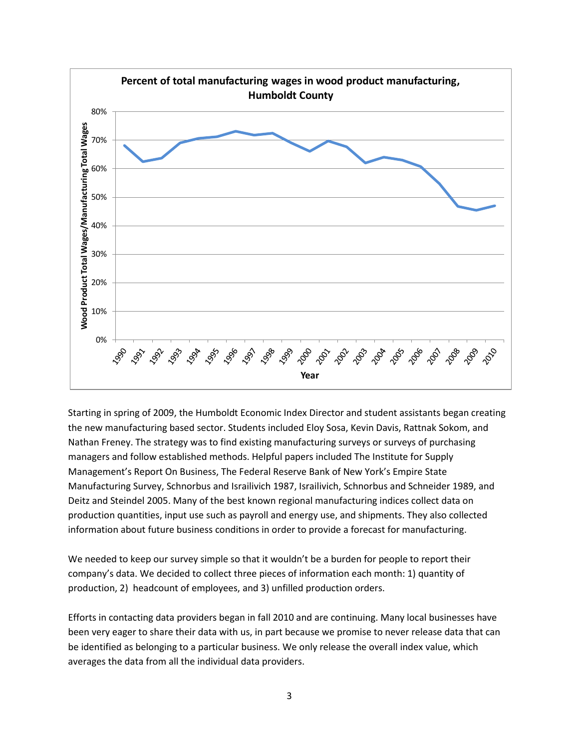

Starting in spring of 2009, the Humboldt Economic Index Director and student assistants began creating the new manufacturing based sector. Students included Eloy Sosa, Kevin Davis, Rattnak Sokom, and Nathan Freney. The strategy was to find existing manufacturing surveys or surveys of purchasing managers and follow established methods. Helpful papers included The Institute for Supply Management's Report On Business, The Federal Reserve Bank of New York's Empire State Manufacturing Survey, Schnorbus and Israilivich 1987, Israilivich, Schnorbus and Schneider 1989, and Deitz and Steindel 2005. Many of the best known regional manufacturing indices collect data on production quantities, input use such as payroll and energy use, and shipments. They also collected information about future business conditions in order to provide a forecast for manufacturing.

We needed to keep our survey simple so that it wouldn't be a burden for people to report their company's data. We decided to collect three pieces of information each month: 1) quantity of production, 2) headcount of employees, and 3) unfilled production orders.

Efforts in contacting data providers began in fall 2010 and are continuing. Many local businesses have been very eager to share their data with us, in part because we promise to never release data that can be identified as belonging to a particular business. We only release the overall index value, which averages the data from all the individual data providers.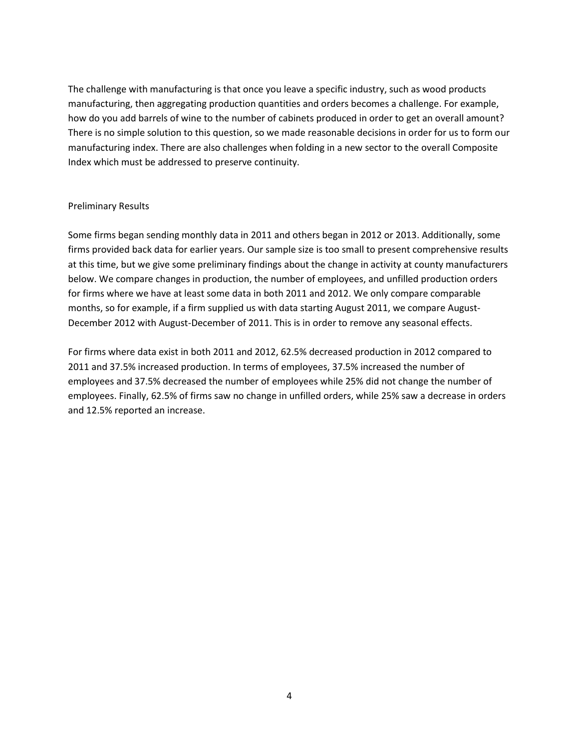The challenge with manufacturing is that once you leave a specific industry, such as wood products manufacturing, then aggregating production quantities and orders becomes a challenge. For example, how do you add barrels of wine to the number of cabinets produced in order to get an overall amount? There is no simple solution to this question, so we made reasonable decisions in order for us to form our manufacturing index. There are also challenges when folding in a new sector to the overall Composite Index which must be addressed to preserve continuity.

### Preliminary Results

Some firms began sending monthly data in 2011 and others began in 2012 or 2013. Additionally, some firms provided back data for earlier years. Our sample size is too small to present comprehensive results at this time, but we give some preliminary findings about the change in activity at county manufacturers below. We compare changes in production, the number of employees, and unfilled production orders for firms where we have at least some data in both 2011 and 2012. We only compare comparable months, so for example, if a firm supplied us with data starting August 2011, we compare August-December 2012 with August-December of 2011. This is in order to remove any seasonal effects.

For firms where data exist in both 2011 and 2012, 62.5% decreased production in 2012 compared to 2011 and 37.5% increased production. In terms of employees, 37.5% increased the number of employees and 37.5% decreased the number of employees while 25% did not change the number of employees. Finally, 62.5% of firms saw no change in unfilled orders, while 25% saw a decrease in orders and 12.5% reported an increase.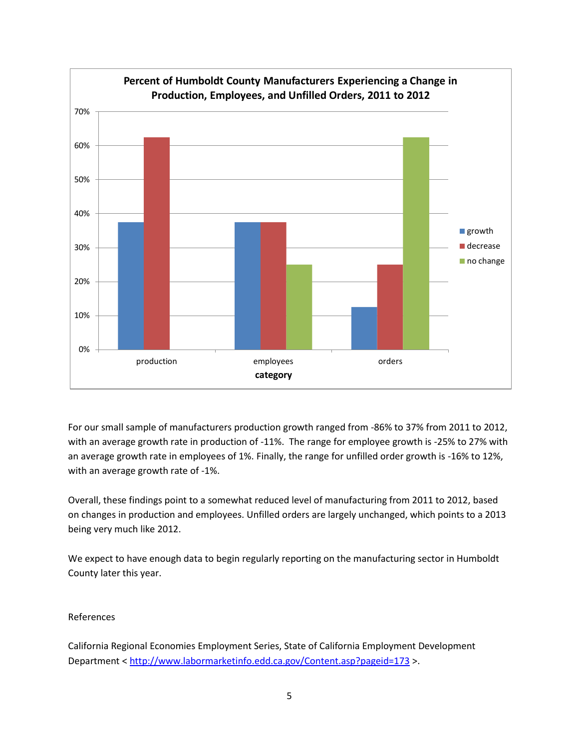

For our small sample of manufacturers production growth ranged from -86% to 37% from 2011 to 2012, with an average growth rate in production of -11%. The range for employee growth is -25% to 27% with an average growth rate in employees of 1%. Finally, the range for unfilled order growth is -16% to 12%, with an average growth rate of -1%.

Overall, these findings point to a somewhat reduced level of manufacturing from 2011 to 2012, based on changes in production and employees. Unfilled orders are largely unchanged, which points to a 2013 being very much like 2012.

We expect to have enough data to begin regularly reporting on the manufacturing sector in Humboldt County later this year.

# References

California Regional Economies Employment Series, State of California Employment Development Department <<http://www.labormarketinfo.edd.ca.gov/Content.asp?pageid=173> >.